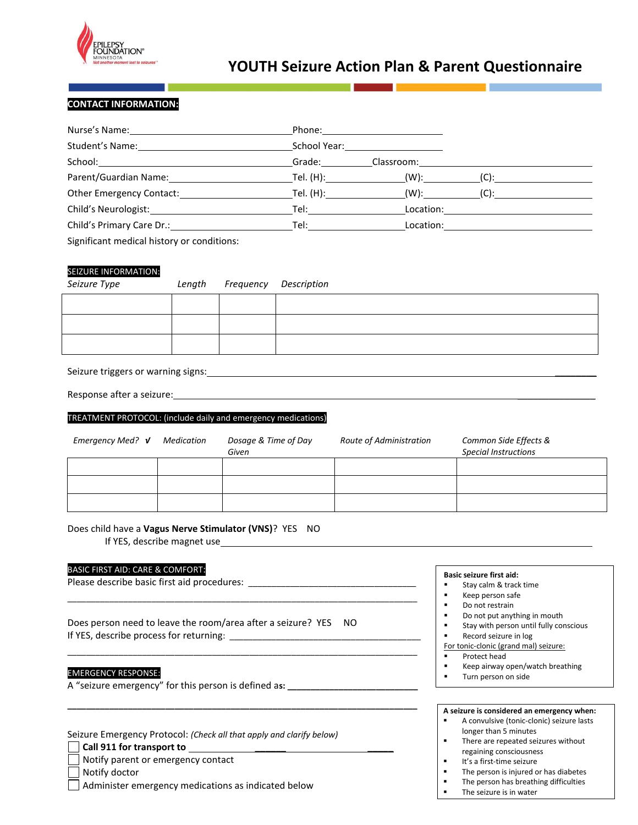

## **YOUTH Seizure Action Plan & Parent Questionnaire**

### **CONTACT INFORMATION:**

|                                            |        | School Year: New York School Year: |                                                            |
|--------------------------------------------|--------|------------------------------------|------------------------------------------------------------|
|                                            | Grade: |                                    |                                                            |
|                                            |        |                                    | (C):                                                       |
|                                            |        |                                    |                                                            |
| Child's Neurologist: Tel: Tel: Tel:        |        |                                    | $\text{Location:}\qquad \qquad \overbrace{\qquad \qquad }$ |
| Child's Primary Care Dr.: Tel: Tel: Tel:   |        |                                    |                                                            |
| Significant medical history or conditions: |        |                                    |                                                            |

#### SEIZURE INFORMATION:

| Seizure Type |  |
|--------------|--|

*Seizure Type Length Frequency Description*

#### Seizure triggers or warning signs: \_\_\_\_\_\_\_\_

Response after a seizure:

#### TREATMENT PROTOCOL: (include daily and emergency medications)

| Emergency Med? V | Medication | Dosage & Time of Day<br>Given | Route of Administration | Common Side Effects &<br><b>Special Instructions</b> |
|------------------|------------|-------------------------------|-------------------------|------------------------------------------------------|
|                  |            |                               |                         |                                                      |
|                  |            |                               |                         |                                                      |
|                  |            |                               |                         |                                                      |

#### Does child have a **Vagus Nerve Stimulator (VNS)**? YES NO

If YES, describe magnet use

#### BASIC FIRST AID: CARE & COMFORT:

Please describe basic first aid procedures: \_

Does person need to leave the room/area after a seizure? YES NO If YES, describe process for returning: \_\_\_\_\_\_\_\_\_\_\_\_\_\_\_\_\_\_\_\_\_\_\_\_\_\_\_\_\_\_\_\_\_\_\_\_\_\_\_\_\_

\_\_\_\_\_\_\_\_\_\_\_\_\_\_\_\_\_\_\_\_\_\_\_\_\_\_\_\_\_\_\_\_\_\_\_\_\_\_\_\_\_\_\_\_\_\_\_\_\_\_\_\_\_\_\_\_\_\_\_\_\_\_\_\_\_\_\_\_\_\_\_\_\_\_\_

\_\_\_\_\_\_\_\_\_\_\_\_\_\_\_\_\_\_\_\_\_\_\_\_\_\_\_\_\_\_\_\_\_\_\_\_\_\_\_\_\_\_\_\_\_\_\_\_\_\_\_\_\_\_\_\_\_\_\_\_\_\_\_\_\_\_\_\_\_\_\_\_\_\_\_

**\_\_\_\_\_\_\_\_\_\_\_\_\_\_\_\_\_\_\_\_\_\_\_\_\_\_\_\_\_\_\_\_\_\_\_\_\_\_\_\_\_\_\_\_\_\_\_\_\_\_\_\_\_\_\_\_\_\_\_\_\_\_\_\_\_\_\_\_\_\_\_\_\_\_\_**

#### EMERGENCY RESPONSE:

A "seizure emergency" for this person is defined a**s: \_\_\_\_\_\_\_\_\_\_\_\_\_\_\_\_\_\_\_\_\_\_\_\_\_\_\_\_**

| Seizure Emergency Protocol: (Check all that apply and clarify below) |  |  |  |
|----------------------------------------------------------------------|--|--|--|
|----------------------------------------------------------------------|--|--|--|

| Call 911 for transport to |  |
|---------------------------|--|
|                           |  |

|  |  |  | Notify parent or emergency contact |  |
|--|--|--|------------------------------------|--|
|--|--|--|------------------------------------|--|

Notify doctor

Administer emergency medications as indicated below

#### **Basic seizure first aid:**

- **Stay calm & track time**
- Keep person safe
- **Do not restrain**
- Do not put anything in mouth
- **Example 1** Stay with person until fully conscious
- **Record seizure in log**
- For tonic-clonic (grand mal) seizure:
- **Protect head**
- **E** Keep airway open/watch breathing
- **Turn person on side**

#### **A seizure is considered an emergency when:**

- A convulsive (tonic-clonic) seizure lasts longer than 5 minutes
- **There are repeated seizures without** regaining consciousness
- $I$  It's a first-time seizure<br>The person is injured of
- The person is injured or has diabetes<br>The person has breathing difficulties
- The person has breathing difficulties
- The seizure is in water